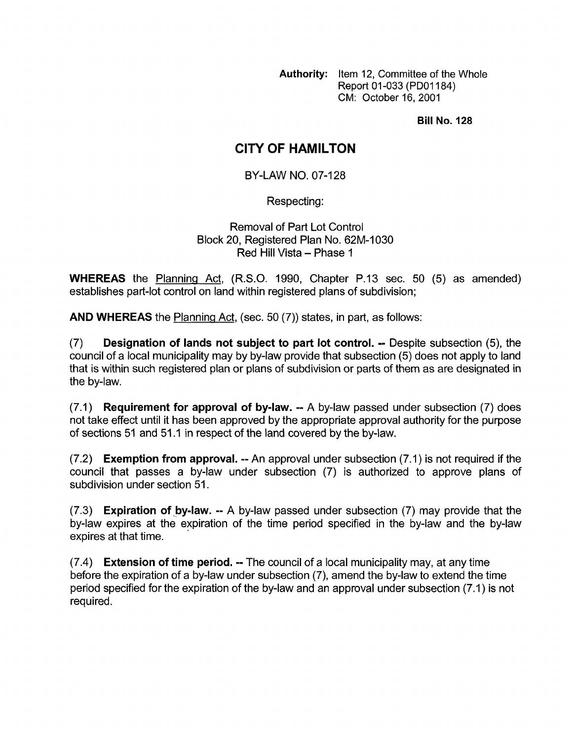**Authority:** Item 12, Committee of the Whole Report 01-033 (PD01184) CM: October 16,2001

**Bill No. 128** 

## **CITY OF HAMILTON**

BY-LAW NO. 07-128

Respecting:

Removal of Part Lot Control Block 20, Registered Plan No. 62M-1030 Red Hill Vista - Phase 1

**WHEREAS** the Planning Act, (R.S.O. 1990, Chapter P.13 sec. 50 (5) as amended) establishes part-lot control on land within registered plans of subdivision;

**AND WHEREAS** the Planning Act, (sec. 50 (7)) states, in part, as follows:

(7) **Designation of lands not subject to part lot control.** -- Despite subsection (5), the council of a local municipality may by by-law provide that subsection (5) does not apply to land that is within such registered plan or plans *of* subdivision or parts of them as are designated in the by-law.

(7.1) **Requirement for approval of by-law.** -- A by-law passed under subsection (7) does not take effect until it has been approved by the appropriate approval authority for the purpose of sections 51 and 51 .I in respect of the land covered by the by-law.

(7.2) **Exemption from approval.** -- An approval under subsection (7.1) is not required if the council that passes a by-law under subsection (7) is authorized to approve plans of subdivision under section 51.

(7.3) **Expiration of by-law. --** A by-law passed under subsection (7) may provide that the by-law expires at the expiration of the time period specified in the by-law and the by-law expires at that time.

(7.4) **Extension of time period.** -- The council of a local municipality may, at any time before the expiration of a by-law under subsection *(7),* amend the by-law to extend the time period specified for the expiration of the by-law and an approval under subsection (7.1) is not required.